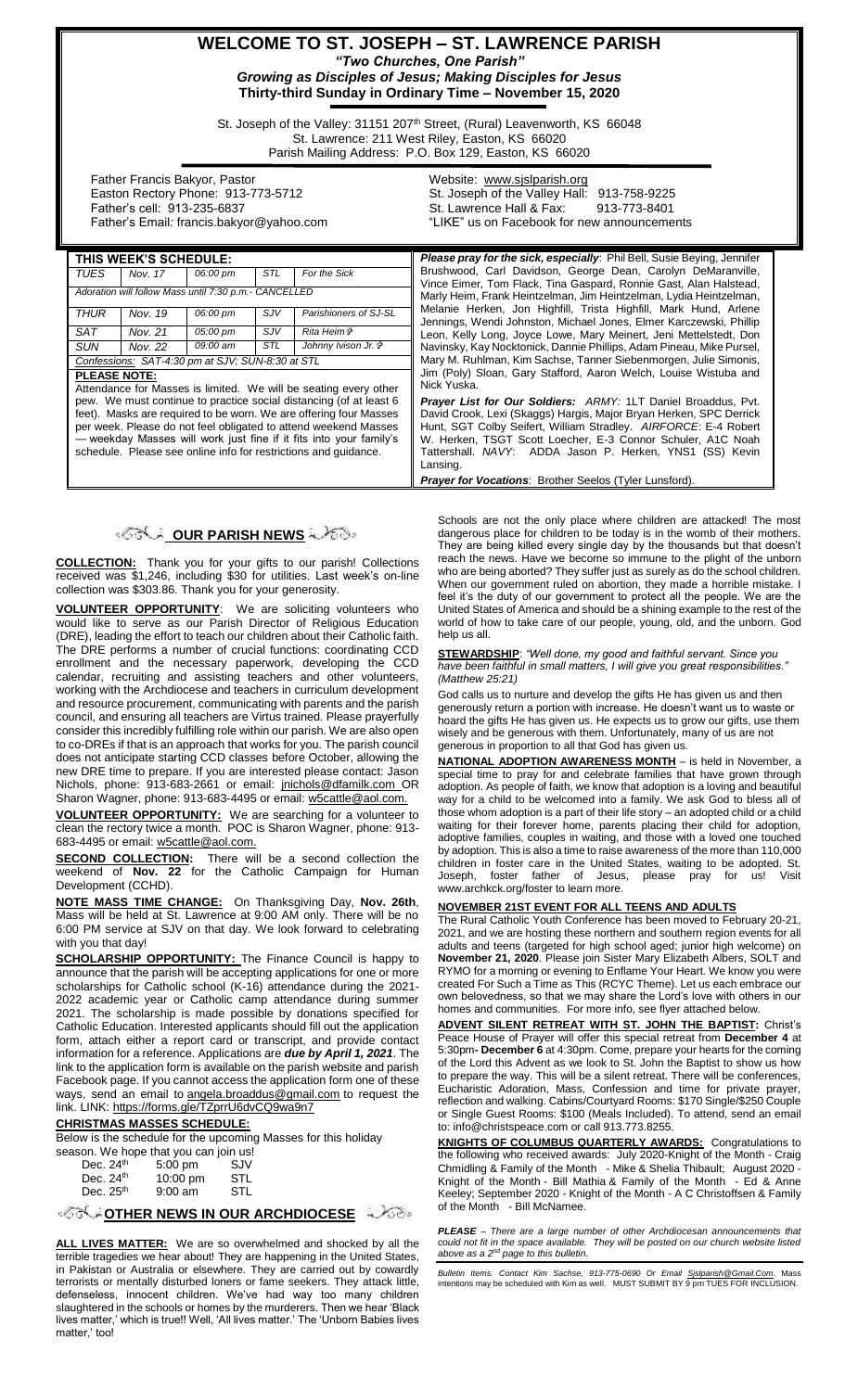# **WELCOME TO ST. JOSEPH – ST. LAWRENCE PARISH** *"Two Churches, One Parish"*

*Growing as Disciples of Jesus; Making Disciples for Jesus* **Thirty-third Sunday in Ordinary Time – November 15, 2020**

St. Joseph of the Valley: 31151 207<sup>th</sup> Street, (Rural) Leavenworth, KS 66048 St. Lawrence: 211 West Riley, Easton, KS 66020 Parish Mailing Address: P.O. Box 129, Easton, KS 66020

 Father Francis Bakyor, Pastor Easton Rectory Phone: 913-773-5712 Father's cell: 913-235-6837 Father's Email*:* francis.bakyor@yahoo.com Website: [www.sjslparish.org](http://www.sjslparish.org/) St. Joseph of the Valley Hall: 913-758-9225 St. Lawrence Hall & Fax: "LIKE" us on Facebook for new announcements

Please pray for the sick, especially: Phil Bell, Susie Beying, Jennifer Brushwood, Carl Davidson, George Dean, Carolyn DeMaranville, Vince Eimer, Tom Flack, Tina Gaspard, Ronnie Gast, Alan Halstead, Marly Heim, Frank Heintzelman, Jim Heintzelman, Lydia Heintzelman, Melanie Herken, Jon Highfill, Trista Highfill, Mark Hund, Arlene Jennings, Wendi Johnston, Michael Jones, Elmer Karczewski, Phillip Leon, Kelly Long, Joyce Lowe, Mary Meinert, Jeni Mettelstedt, Don Navinsky, Kay Nocktonick, Dannie Phillips, Adam Pineau, Mike Pursel, Mary M. Ruhlman, Kim Sachse, Tanner Siebenmorgen, Julie Simonis, Jim (Poly) Sloan, Gary Stafford, Aaron Welch, Louise Wistuba and

| THIS WEEK'S SCHEDULE:                                                                                                                                                                                                                                                                                                                                                                                                                          |         |          |        |                       |  |  |
|------------------------------------------------------------------------------------------------------------------------------------------------------------------------------------------------------------------------------------------------------------------------------------------------------------------------------------------------------------------------------------------------------------------------------------------------|---------|----------|--------|-----------------------|--|--|
| TUES                                                                                                                                                                                                                                                                                                                                                                                                                                           | Nov. 17 | 06:00 pm | STL    | For the Sick          |  |  |
| Adoration will follow Mass until 7:30 p.m.- CANCELLED                                                                                                                                                                                                                                                                                                                                                                                          |         |          |        |                       |  |  |
| <b>THUR</b>                                                                                                                                                                                                                                                                                                                                                                                                                                    | Nov. 19 | 06:00 pm | $S$ JV | Parishioners of SJ-SL |  |  |
| SAT                                                                                                                                                                                                                                                                                                                                                                                                                                            | Nov. 21 | 05:00 pm | SJV    | Rita Heim <i>นิ</i>   |  |  |
| SUN                                                                                                                                                                                                                                                                                                                                                                                                                                            | Nov. 22 | 09:00 am | STL    | Johnny Ivison Jr. &   |  |  |
| Confessions: SAT-4:30 pm at SJV; SUN-8:30 at STL                                                                                                                                                                                                                                                                                                                                                                                               |         |          |        |                       |  |  |
| <b>PLEASE NOTE:</b><br>Attendance for Masses is limited. We will be seating every other<br>pew. We must continue to practice social distancing (of at least 6<br>feet). Masks are required to be worn. We are offering four Masses<br>per week. Please do not feel obligated to attend weekend Masses<br>- weekday Masses will work just fine if it fits into your family's<br>schedule. Please see online info for restrictions and quidance. |         |          |        |                       |  |  |

# **OUR PARISH NEWS**

**COLLECTION:** Thank you for your gifts to our parish! Collections received was \$1,246, including \$30 for utilities. Last week's on-line collection was \$303.86. Thank you for your generosity.

**VOLUNTEER OPPORTUNITY**: We are soliciting volunteers who would like to serve as our Parish Director of Religious Education (DRE), leading the effort to teach our children about their Catholic faith. The DRE performs a number of crucial functions: coordinating CCD enrollment and the necessary paperwork, developing the CCD calendar, recruiting and assisting teachers and other volunteers, working with the Archdiocese and teachers in curriculum development and resource procurement, communicating with parents and the parish council, and ensuring all teachers are Virtus trained. Please prayerfully consider this incredibly fulfilling role within our parish. We are also open to co-DREs if that is an approach that works for you. The parish council does not anticipate starting CCD classes before October, allowing the new DRE time to prepare. If you are interested please contact: Jason Nichols, phone: 913-683-2661 or email: [jnichols@dfamilk.com](mailto:jnichols@dfamilk.com) OR Sharon Wagner, phone: 913-683-4495 or email: [w5cattle@aol.com.](mailto:w5cattle@aol.com)

**VOLUNTEER OPPORTUNITY:** We are searching for a volunteer to clean the rectory twice a month. POC is Sharon Wagner, phone: 913- 683-4495 or email[: w5cattle@aol.com.](mailto:w5cattle@aol.com)

**SECOND COLLECTION:** There will be a second collection the weekend of **Nov. 22** for the Catholic Campaign for Human Development (CCHD).

**NOTE MASS TIME CHANGE:** On Thanksgiving Day, **Nov. 26th**, Mass will be held at St. Lawrence at 9:00 AM only. There will be no 6:00 PM service at SJV on that day. We look forward to celebrating with you that day!

**SCHOLARSHIP OPPORTUNITY:** The Finance Council is happy to announce that the parish will be accepting applications for one or more scholarships for Catholic school (K-16) attendance during the 2021- 2022 academic year or Catholic camp attendance during summer 2021. The scholarship is made possible by donations specified for Catholic Education. Interested applicants should fill out the application form, attach either a report card or transcript, and provide contact information for a reference. Applications are *due by April 1, 2021*. The link to the application form is available on the parish website and parish Facebook page. If you cannot access the application form one of these ways, send an email to [angela.broaddus@gmail.com](mailto:angela.broaddus@gmail.com) to request the link. LINK: <https://forms.gle/TZprrU6dvCQ9wa9n7>

#### **CHRISTMAS MASSES SCHEDULE:**

Below is the schedule for the upcoming Masses for this holiday

| season. We hope that you can join us! |           |     |
|---------------------------------------|-----------|-----|
| Dec. $24th$                           | $5:00$ pm | SJV |
| Dec. $24th$                           | 10:00 pm  | STL |
| Dec. $25th$                           | $9:00$ am | STL |

**[O](http://www.google.com/url?sa=i&rct=j&q=&esrc=s&source=images&cd=&cad=rja&uact=8&ved=0CAcQjRxqFQoTCL3M6dfYlskCFQfIYwodK-sMqA&url=http://www.clipartpanda.com/categories/corner-scroll-design&psig=AFQjCNEcNGu-GRs-N_tcfj31hDOCKS7EqQ&ust=1447823402338642)PPORT ARCHOOCESE** 

**ALL LIVES MATTER:** We are so overwhelmed and shocked by all the terrible tragedies we hear about! They are happening in the United States, in Pakistan or Australia or elsewhere. They are carried out by cowardly terrorists or mentally disturbed loners or fame seekers. They attack little, defenseless, innocent children. We've had way too many children slaughtered in the schools or homes by the murderers. Then we hear 'Black lives matter,' which is true!! Well, 'All lives matter.' The 'Unborn Babies lives matter,' too!

Nick Yuska. *Prayer List for Our Soldiers: ARMY:* 1LT Daniel Broaddus, Pvt. David Crook, Lexi (Skaggs) Hargis, Major Bryan Herken, SPC Derrick Hunt, SGT Colby Seifert, William Stradley. *AIRFORCE*: E-4 Robert W. Herken, TSGT Scott Loecher, E-3 Connor Schuler, A1C Noah Tattershall. *NAVY*: ADDA Jason P. Herken, YNS1 (SS) Kevin Lansing. *Prayer for Vocations*: Brother Seelos (Tyler Lunsford).

Schools are not the only place where children are attacked! The most dangerous place for children to be today is in the womb of their mothers. They are being killed every single day by the thousands but that doesn't reach the news. Have we become so immune to the plight of the unborn who are being aborted? They suffer just as surely as do the school children. When our government ruled on abortion, they made a horrible mistake. I feel it's the duty of our government to protect all the people. We are the United States of America and should be a shining example to the rest of the world of how to take care of our people, young, old, and the unborn. God help us all.

**STEWARDSHIP**: *"Well done, my good and faithful servant. Since you have been faithful in small matters, I will give you great responsibilities." (Matthew 25:21)*

God calls us to nurture and develop the gifts He has given us and then generously return a portion with increase. He doesn't want us to waste or hoard the gifts He has given us. He expects us to grow our gifts, use them wisely and be generous with them. Unfortunately, many of us are not generous in proportion to all that God has given us.

**NATIONAL ADOPTION AWARENESS MONTH** – is held in November, a special time to pray for and celebrate families that have grown through adoption. As people of faith, we know that adoption is a loving and beautiful way for a child to be welcomed into a family. We ask God to bless all of those whom adoption is a part of their life story – an adopted child or a child waiting for their forever home, parents placing their child for adoption, adoptive families, couples in waiting, and those with a loved one touched by adoption. This is also a time to raise awareness of the more than 110,000 children in foster care in the United States, waiting to be adopted. St. Joseph, foster father of Jesus, please pray for us! Visit www.archkck.org/foster to learn more.

#### **NOVEMBER 21ST EVENT FOR ALL TEENS AND ADULTS**

The Rural Catholic Youth Conference has been moved to February 20-21, 2021, and we are hosting these northern and southern region events for all adults and teens (targeted for high school aged; junior high welcome) on **November 21, 2020**. Please join Sister Mary Elizabeth Albers, SOLT and RYMO for a morning or evening to Enflame Your Heart. We know you were created For Such a Time as This (RCYC Theme). Let us each embrace our own belovedness, so that we may share the Lord's love with others in our homes and communities. For more info, see flyer attached below.

**ADVENT SILENT RETREAT WITH ST. JOHN THE BAPTIST:** Christ's Peace House of Prayer will offer this special retreat from **December 4** at 5:30pm**- December 6** at 4:30pm. Come, prepare your hearts for the coming of the Lord this Advent as we look to St. John the Baptist to show us how to prepare the way. This will be a silent retreat. There will be conferences, Eucharistic Adoration, Mass, Confession and time for private prayer, reflection and walking. Cabins/Courtyard Rooms: \$170 Single/\$250 Couple or Single Guest Rooms: \$100 (Meals Included). To attend, send an email to: info@christspeace.com or call 913.773.8255.

**KNIGHTS OF COLUMBUS QUARTERLY AWARDS:** Congratulations to the following who received awards: July 2020-Knight of the Month - Craig Chmidling & Family of the Month - Mike & Shelia Thibault; August 2020 - Knight of the Month - Bill Mathia & Family of the Month - Ed & Anne Keeley; September 2020 - Knight of the Month - A C Christoffsen & Family of the Month - Bill McNamee.

*PLEASE – There are a large number of other Archdiocesan announcements that could not fit in the space available. They will be posted on our church website listed above as a 2nd page to this bulletin.*

*Bulletin Items: Contact Kim Sachse, 913-775-0690 Or Email <u>Sislparish@Gmail.Com</u>. Mass<br>intentions may be scheduled with Kim as well. MUST SUBMIT BY 9 pm TUES FOR INCLUSION.*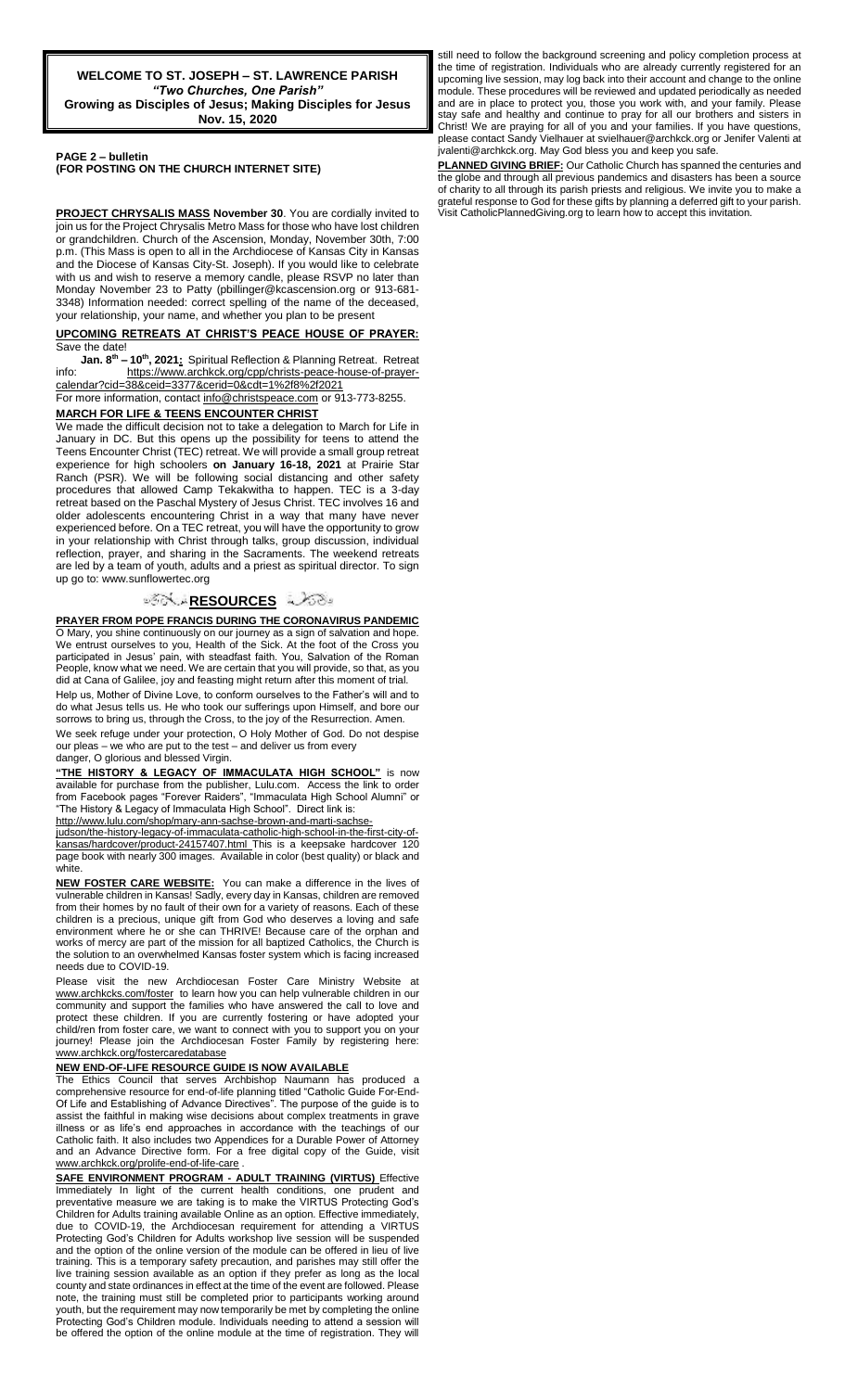**PAGE 2 – bulletin** 

**(FOR POSTING ON THE CHURCH INTERNET SITE)**

**PROJECT CHRYSALIS MASS November 30**. You are cordially invited to join us for the Project Chrysalis Metro Mass for those who have lost children or grandchildren. Church of the Ascension, Monday, November 30th, 7:00 p.m. (This Mass is open to all in the Archdiocese of Kansas City in Kansas and the Diocese of Kansas City-St. Joseph). If you would like to celebrate with us and wish to reserve a memory candle, please RSVP no later than Monday November 23 to Patty (pbillinger@kcascension.org or 913-681- 3348) Information needed: correct spelling of the name of the deceased, your relationship, your name, and whether you plan to be present

#### **UPCOMING RETREATS AT CHRIST'S PEACE HOUSE OF PRAYER:** Save the date!

**Jan. 8th – 10th, 2021:** Spiritual Reflection & Planning Retreat. Retreat info: [https://www.archkck.org/cpp/christs-peace-house-of-prayer](https://www.archkck.org/cpp/christs-peace-house-of-prayer-calendar?cid=38&ceid=3377&cerid=0&cdt=1%2f8%2f2021)[calendar?cid=38&ceid=3377&cerid=0&cdt=1%2f8%2f2021](https://www.archkck.org/cpp/christs-peace-house-of-prayer-calendar?cid=38&ceid=3377&cerid=0&cdt=1%2f8%2f2021)

For more information, contac[t info@christspeace.com](mailto:info@christspeace.com) or 913-773-8255. **MARCH FOR LIFE & TEENS ENCOUNTER CHRIST**

# We made the difficult decision not to take a delegation to March for Life in

January in DC. But this opens up the possibility for teens to attend the Teens Encounter Christ (TEC) retreat. We will provide a small group retreat experience for high schoolers **on January 16-18, 2021** at Prairie Star Ranch (PSR). We will be following social distancing and other safety procedures that allowed Camp Tekakwitha to happen. TEC is a 3-day retreat based on the Paschal Mystery of Jesus Christ. TEC involves 16 and older adolescents encountering Christ in a way that many have never experienced before. On a TEC retreat, you will have the opportunity to grow in your relationship with Christ through talks, group discussion, individual reflection, prayer, and sharing in the Sacraments. The weekend retreats are led by a team of youth, adults and a priest as spiritual director. To sign up go to: www.sunflowertec.org

## ಿನ**್ಲಿ <u>RESOURCES</u> ವಿ**ನಾ

**PRAYER FROM POPE FRANCIS DURING THE CORONAVIRUS PANDEMIC** O Mary, you shine continuously on our journey as a sign of salvation and hope. We entrust ourselves to you, Health of the Sick. At the foot of the Cross you participated in Jesus' pain, with steadfast faith. You, Salvation of the Roman People, know what we need. We are certain that you will provide, so that, as you did at Cana of Galilee, joy and feasting might return after this moment of trial.

Help us, Mother of Divine Love, to conform ourselves to the Father's will and to do what Jesus tells us. He who took our sufferings upon Himself, and bore our sorrows to bring us, through the Cross, to the joy of the Resurrection. Amen.

We seek refuge under your protection, O Holy Mother of God. Do not despise our pleas – we who are put to the test – and deliver us from every danger, O glorious and blessed Virgin.

**"THE HISTORY & LEGACY OF IMMACULATA HIGH SCHOOL"** is now available for purchase from the publisher, Lulu.com. Access the link to order from Facebook pages "Forever Raiders", "Immaculata High School Alumni" or "The History & Legacy of Immaculata High School". Direct link is:

[http://www.lulu.com/shop/mary-ann-sachse-brown-and-marti-sachse-](http://www.lulu.com/shop/mary-ann-sachse-brown-and-marti-sachse-judson/the-history-legacy-of-immaculata-catholic-high-school-in-the-first-city-of-kansas/hardcover/product-24157407.html)

[judson/the-history-legacy-of-immaculata-catholic-high-school-in-the-first-city-of](http://www.lulu.com/shop/mary-ann-sachse-brown-and-marti-sachse-judson/the-history-legacy-of-immaculata-catholic-high-school-in-the-first-city-of-kansas/hardcover/product-24157407.html)[kansas/hardcover/product-24157407.html](http://www.lulu.com/shop/mary-ann-sachse-brown-and-marti-sachse-judson/the-history-legacy-of-immaculata-catholic-high-school-in-the-first-city-of-kansas/hardcover/product-24157407.html) This is a keepsake hardcover 120 page book with nearly 300 images. Available in color (best quality) or black and white.

**NEW FOSTER CARE WEBSITE:** You can make a difference in the lives of vulnerable children in Kansas! Sadly, every day in Kansas, children are removed from their homes by no fault of their own for a variety of reasons. Each of these children is a precious, unique gift from God who deserves a loving and safe environment where he or she can THRIVE! Because care of the orphan and works of mercy are part of the mission for all baptized Catholics, the Church is the solution to an overwhelmed Kansas foster system which is facing increased needs due to COVID-19.

Please visit the new Archdiocesan Foster Care Ministry Website at [www.archkcks.com/foster](http://www.archkcks.com/foster) to learn how you can help vulnerable children in our community and support the families who have answered the call to love and protect these children. If you are currently fostering or have adopted your child/ren from foster care, we want to connect with you to support you on your journey! Please join the Archdiocesan Foster Family by registering here: [www.archkck.org/fostercaredatabase](http://www.archkck.org/fostercaredatabase)

#### **NEW END-OF-LIFE RESOURCE GUIDE IS NOW AVAILABLE**

The Ethics Council that serves Archbishop Naumann has produced a comprehensive resource for end-of-life planning titled "Catholic Guide For-End-Of Life and Establishing of Advance Directives". The purpose of the guide is to assist the faithful in making wise decisions about complex treatments in grave illness or as life's end approaches in accordance with the teachings of our Catholic faith. It also includes two Appendices for a Durable Power of Attorney and an Advance Directive form. For a free digital copy of the Guide, visit [www.archkck.org/prolife-end-of-life-care](http://www.archkck.org/prolife-end-of-life-care) .

**SAFE ENVIRONMENT PROGRAM - ADULT TRAINING (VIRTUS)** Effective Immediately In light of the current health conditions, one prudent and preventative measure we are taking is to make the VIRTUS Protecting God's Children for Adults training available Online as an option. Effective immediately, due to COVID-19, the Archdiocesan requirement for attending a VIRTUS Protecting God's Children for Adults workshop live session will be suspended and the option of the online version of the module can be offered in lieu of live training. This is a temporary safety precaution, and parishes may still offer the live training session available as an option if they prefer as long as the local county and state ordinances in effect at the time of the event are followed. Please note, the training must still be completed prior to participants working around youth, but the requirement may now temporarily be met by completing the online Protecting God's Children module. Individuals needing to attend a session will be offered the option of the online module at the time of registration. They will

still need to follow the background screening and policy completion process at the time of registration. Individuals who are already currently registered for an upcoming live session, may log back into their account and change to the online module. These procedures will be reviewed and updated periodically as needed and are in place to protect you, those you work with, and your family. Please stay safe and healthy and continue to pray for all our brothers and sisters in Christ! We are praying for all of you and your families. If you have questions, please contact Sandy Vielhauer at svielhauer@archkck.org or Jenifer Valenti at jvalenti@archkck.org. May God bless you and keep you safe.

**PLANNED GIVING BRIEF:** Our Catholic Church has spanned the centuries and the globe and through all previous pandemics and disasters has been a source of charity to all through its parish priests and religious. We invite you to make a grateful response to God for these gifts by planning a deferred gift to your parish. Visit CatholicPlannedGiving.org to learn how to accept this invitation.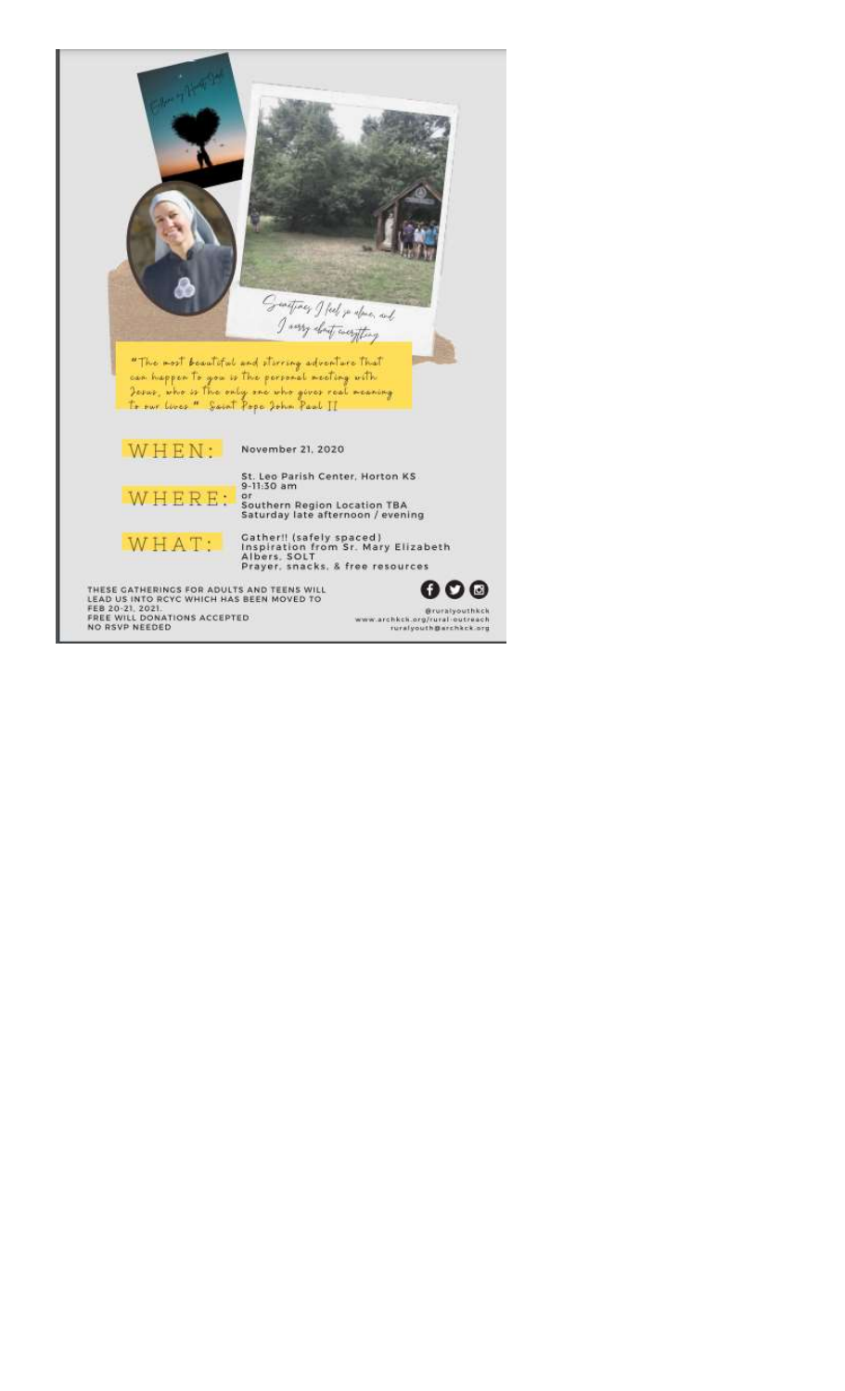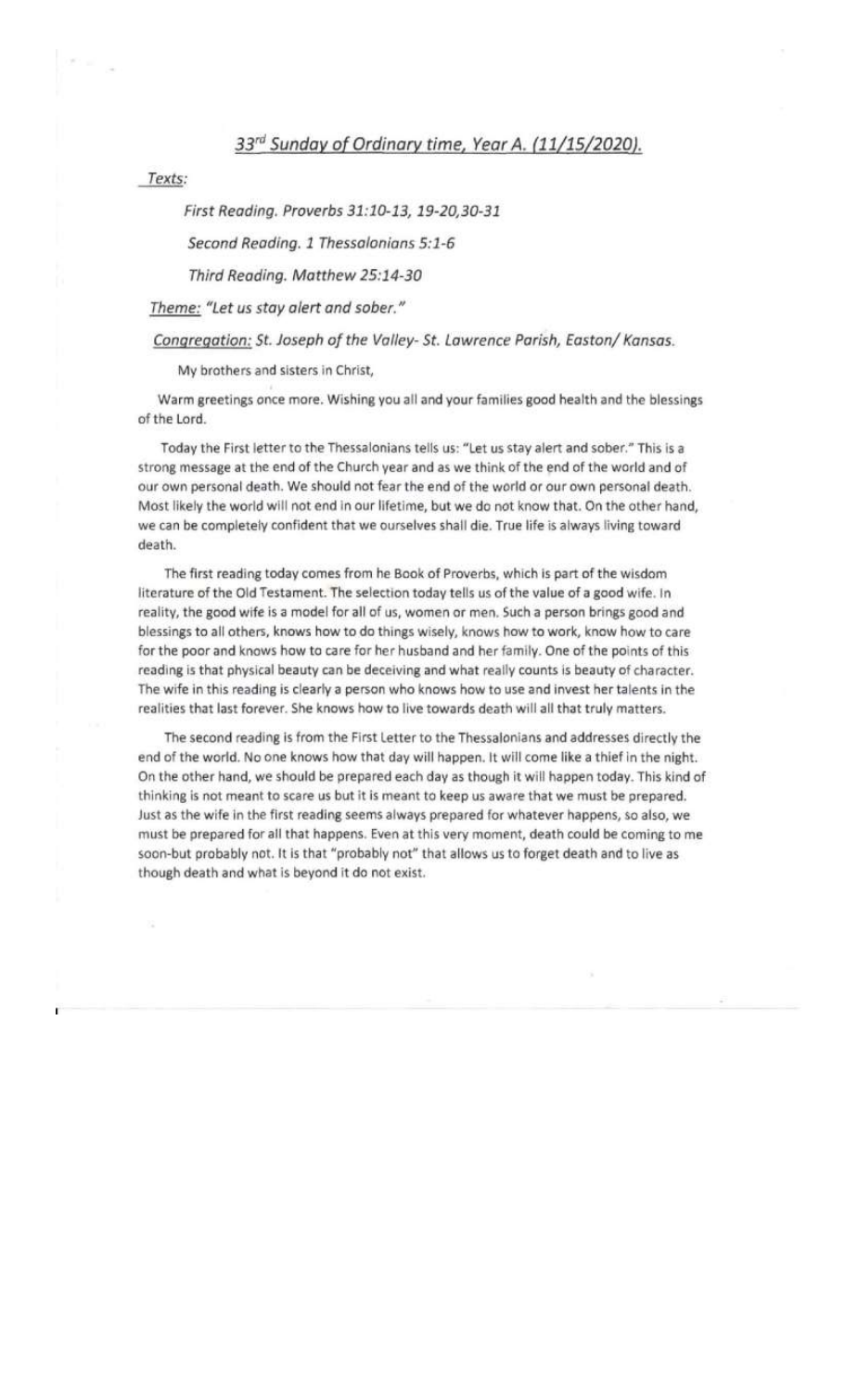# 33rd Sunday of Ordinary time, Year A. (11/15/2020).

Texts:

### First Reading. Proverbs 31:10-13, 19-20,30-31

Second Reading. 1 Thessalonians 5:1-6

### Third Reading. Matthew 25:14-30

Theme: "Let us stay alert and sober."

### Congregation: St. Joseph of the Valley- St. Lawrence Parish, Easton/ Kansas.

My brothers and sisters in Christ,

Warm greetings once more. Wishing you all and your families good health and the blessings of the Lord.

Today the First letter to the Thessalonians tells us: "Let us stay alert and sober." This is a strong message at the end of the Church year and as we think of the end of the world and of our own personal death. We should not fear the end of the world or our own personal death. Most likely the world will not end in our lifetime, but we do not know that. On the other hand, we can be completely confident that we ourselves shall die. True life is always living toward death.

The first reading today comes from he Book of Proverbs, which is part of the wisdom literature of the Old Testament. The selection today tells us of the value of a good wife. In reality, the good wife is a model for all of us, women or men. Such a person brings good and blessings to all others, knows how to do things wisely, knows how to work, know how to care for the poor and knows how to care for her husband and her family. One of the points of this reading is that physical beauty can be deceiving and what really counts is beauty of character. The wife in this reading is clearly a person who knows how to use and invest her talents in the realities that last forever. She knows how to live towards death will all that truly matters.

The second reading is from the First Letter to the Thessalonians and addresses directly the end of the world. No one knows how that day will happen. It will come like a thief in the night. On the other hand, we should be prepared each day as though it will happen today. This kind of thinking is not meant to scare us but it is meant to keep us aware that we must be prepared. Just as the wife in the first reading seems always prepared for whatever happens, so also, we must be prepared for all that happens. Even at this very moment, death could be coming to me soon-but probably not. It is that "probably not" that allows us to forget death and to live as though death and what is beyond it do not exist.